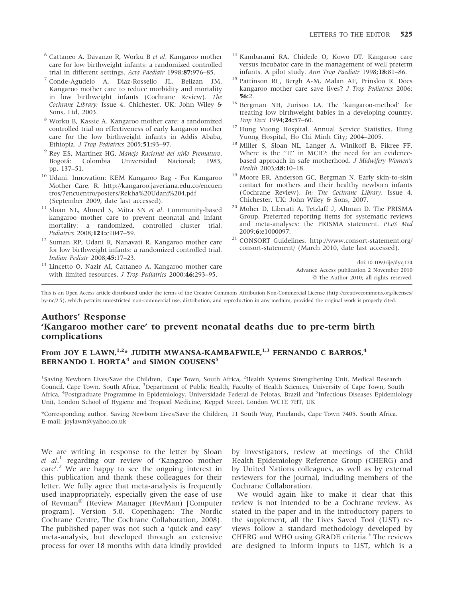- <sup>6</sup> Cattaneo A, Davanzo R, Worku B et al. Kangaroo mother care for low birthweight infants: a randomized controlled trial in different settings. Acta Paediatr 1998;87:976–85.
- <sup>7</sup> Conde-Agudelo A, Diaz-Rossello JL, Belizan JM. Kangaroo mother care to reduce morbidity and mortality in low birthweight infants (Cochrane Review). The Cochrane Library: Issue 4. Chichester, UK: John Wiley & Sons, Ltd, 2003.
- <sup>8</sup> Worku B, Kassie A. Kangaroo mother care: a randomized controlled trial on effectiveness of early kangaroo mother care for the low birthweight infants in Addis Ababa, Ethiopia. J Trop Pediatrics 2005;51:93-97.
- <sup>9</sup> Rey ES, Martinez HG. Manejo Racional del niño Prematuro.<br>Bogotá: Colombia Universidad Nacional; 1983, Universidad Nacional; 1983, pp. 137–51.
- <sup>10</sup> Udani. Innovation: KEM Kangaroo Bag For Kangaroo Mother Care. R. http://kangaroo.javeriana.edu.co/encuen tros/7encuentro/posters/Rekha%20Udani%204.pdf (September 2009, date last accessed).
- <sup>11</sup> Sloan NL, Ahmed S, Mitra SN et al. Community-based kangaroo mother care to prevent neonatal and infant mortality: a randomized, controlled cluster trial. Pediatrics 2008;121:e1047–59.
- <sup>12</sup> Suman RP, Udani R, Nanavati R. Kangaroo mother care for low birthweight infants: a randomized controlled trial. Indian Pediatr 2008;45:17–23.
- <sup>13</sup> Lincetto O, Nazir AI, Cattaneo A. Kangaroo mother care with limited resources. J Trop Pediatrics 2000;46:293-95.
- Kambarami RA, Chidede O, Kowo DT. Kangaroo care versus incubator care in the management of well preterm infants. A pilot study. Ann Trop Paediatr 1998;18:81–86.
- <sup>15</sup> Pattinson RC, Bergh A-M, Malan AF, Prinsloo R. Does kangaroo mother care save lives? J Trop Pediatrics 2006;  $56:2.$
- <sup>16</sup> Bergman NH, Jurisoo LA. The 'kangaroo-method' for treating low birthweight babies in a developing country. Trop Doct 1994;24:57–60.
- <sup>17</sup> Hung Vuong Hospital. Annual Service Statistics, Hung Vuong Hospital, Ho Chi Minh City; 2004–2005.
- Miller S, Sloan NL, Langer A, Winikoff B, Fikree FF. Where is the "E" in MCH?: the need for an evidencebased approach in safe motherhood. J Midwifery Women's Health 2003;48:10-18.
- <sup>19</sup> Moore ER. Anderson GC, Bergman N. Early skin-to-skin contact for mothers and their healthy newborn infants (Cochrane Review). In: The Cochrane Library. Issue 4. Chichester, UK: John Wiley & Sons, 2007.
- <sup>20</sup> Moher D, Liberati A, Tetzlaff J, Altman D. The PRISMA Group. Preferred reporting items for systematic reviews and meta-analyses: the PRISMA statement. PLoS Med 2009;6:e1000097.
- <sup>21</sup> CONSORT Guidelines. http://www.consort-statement.org/ consort-statement/ (March 2010, date last accessed).

doi:10.1093/ije/dyq174 Advance Access publication 2 November 2010  $© The Author 2010; all rights reserved.$ 

This is an Open Access article distributed under the terms of the Creative Commons Attribution Non-Commercial License (http://creativecommons.org/licenses/ by-nc/2.5), which permits unrestricted non-commercial use, distribution, and reproduction in any medium, provided the original work is properly cited.

#### Authors' Response 'Kangaroo mother care' to prevent neonatal deaths due to pre-term birth complications

### From JOY E LAWN,<sup>1,2\*</sup> JUDITH MWANSA-KAMBAFWILE,<sup>1,3</sup> FERNANDO C BARROS,<sup>4</sup> BERNANDO L HORTA<sup>4</sup> and SIMON COUSENS<sup>5</sup>

<sup>1</sup>Saving Newborn Lives/Save the Children, Cape Town, South Africa, <sup>2</sup>Health Systems Strengthening Unit, Medical Research Council, Cape Town, South Africa, <sup>3</sup>Department of Public Health, Faculty of Health Sciences, University of Cape Town, South Africa, <sup>4</sup>Postgraduate Programme in Epidemiology. Universidade Federal de Pelotas, Brazil and <sup>5</sup>Infectious Diseases Epidemiology Unit, London School of Hygiene and Tropical Medicine, Keppel Street, London WC1E 7HT, UK

\*Corresponding author. Saving Newborn Lives/Save the Children, 11 South Way, Pinelands, Cape Town 7405, South Africa. E-mail: joylawn@yahoo.co.uk

We are writing in response to the letter by Sloan et al.<sup>1</sup> regarding our review of 'Kangaroo mother  $\frac{c}{c}$  We are happy to see the ongoing interest in this publication and thank these colleagues for their letter. We fully agree that meta-analysis is frequently used inappropriately, especially given the ease of use of Revman<sup>®</sup> (Review Manager (RevMan) [Computer program]. Version 5.0. Copenhagen: The Nordic Cochrane Centre, The Cochrane Collaboration, 2008). The published paper was not such a 'quick and easy' meta-analysis, but developed through an extensive process for over 18 months with data kindly provided

by investigators, review at meetings of the Child Health Epidemiology Reference Group (CHERG) and by United Nations colleagues, as well as by external reviewers for the journal, including members of the Cochrane Collaboration.

We would again like to make it clear that this review is not intended to be a Cochrane review. As stated in the paper and in the introductory papers to the supplement, all the Lives Saved Tool (LiST) reviews follow a standard methodology developed by CHERG and WHO using GRADE criteria.<sup>3</sup> The reviews are designed to inform inputs to LiST, which is a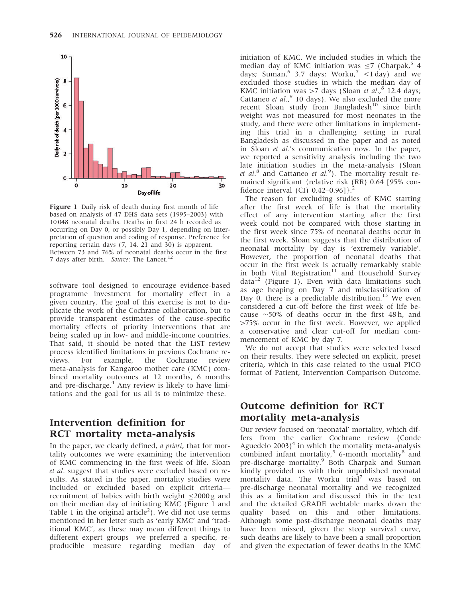

Figure 1 Daily risk of death during first month of life based on analysis of 47 DHS data sets (1995–2003) with 10 048 neonatal deaths. Deaths in first 24 h recorded as occurring on Day 0, or possibly Day 1, depending on interpretation of question and coding of response. Preference for reporting certain days (7, 14, 21 and 30) is apparent. Between 73 and 76% of neonatal deaths occur in the first 7 days after birth. Source: The Lancet.<sup>12</sup>

software tool designed to encourage evidence-based programme investment for mortality effect in a given country. The goal of this exercise is not to duplicate the work of the Cochrane collaboration, but to provide transparent estimates of the cause-specific mortality effects of priority interventions that are being scaled up in low- and middle-income countries. That said, it should be noted that the LiST review process identified limitations in previous Cochrane reviews. For example, the Cochrane review meta-analysis for Kangaroo mother care (KMC) combined mortality outcomes at 12 months, 6 months and pre-discharge. $4$  Any review is likely to have limitations and the goal for us all is to minimize these.

# Intervention definition for RCT mortality meta-analysis

In the paper, we clearly defined, a priori, that for mortality outcomes we were examining the intervention of KMC commencing in the first week of life. Sloan et al. suggest that studies were excluded based on results. As stated in the paper, mortality studies were included or excluded based on explicit criteria recruitment of babies with birth weight  $\leq$ 2000 g and on their median day of initiating KMC (Figure 1 and Table 1 in the original article<sup>2</sup>). We did not use terms mentioned in her letter such as 'early KMC' and 'traditional KMC', as these may mean different things to different expert groups—we preferred a specific, reproducible measure regarding median day of

initiation of KMC. We included studies in which the median day of KMC initiation was  $\leq$ 7 (Charpak,<sup>5</sup> 4 days; Suman,  $6$  3.7 days; Worku,  $7$  <1 day) and we excluded those studies in which the median day of KMC initiation was  $>7$  days (Sloan et al., $8$  12.4 days; Cattaneo et al.,  $9$  10 days). We also excluded the more recent Sloan study from Bangladesh<sup>10</sup> since birth weight was not measured for most neonates in the study, and there were other limitations in implementing this trial in a challenging setting in rural Bangladesh as discussed in the paper and as noted in Sloan et al.'s communication now. In the paper, we reported a sensitivity analysis including the two late initiation studies in the meta-analysis (Sloan et al.<sup>8</sup> and Cattaneo et al.<sup>9</sup>). The mortality result remained significant {relative risk (RR) 0.64 [95% confidence interval (CI)  $0.42-0.96$ ].

The reason for excluding studies of KMC starting after the first week of life is that the mortality effect of any intervention starting after the first week could not be compared with those starting in the first week since 75% of neonatal deaths occur in the first week. Sloan suggests that the distribution of neonatal mortality by day is 'extremely variable'. However, the proportion of neonatal deaths that occur in the first week is actually remarkably stable in both Vital Registration<sup>11</sup> and Household Survey  $data<sup>12</sup>$  (Figure 1). Even with data limitations such as age heaping on Day 7 and misclassification of Day 0, there is a predictable distribution.<sup>13</sup> We even considered a cut-off before the first week of life because  $\sim$ 50% of deaths occur in the first 48 h, and 475% occur in the first week. However, we applied a conservative and clear cut-off for median commencement of KMC by day 7.

We do not accept that studies were selected based on their results. They were selected on explicit, preset criteria, which in this case related to the usual PICO format of Patient, Intervention Comparison Outcome.

## Outcome definition for RCT mortality meta-analysis

Our review focused on 'neonatal' mortality, which differs from the earlier Cochrane review (Conde Aguedelo  $2003$ <sup>4</sup> in which the mortality meta-analysis combined infant mortality, $5$  6-month mortality $8$  and pre-discharge mortality.<sup>9</sup> Both Charpak and Suman kindly provided us with their unpublished neonatal mortality data. The Worku trial<sup>7</sup> was based on pre-discharge neonatal mortality and we recognized this as a limitation and discussed this in the text and the detailed GRADE webtable marks down the quality based on this and other limitations. Although some post-discharge neonatal deaths may have been missed, given the steep survival curve, such deaths are likely to have been a small proportion and given the expectation of fewer deaths in the KMC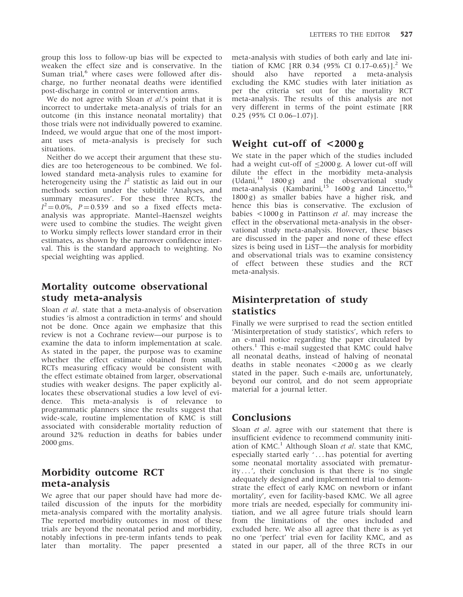group this loss to follow-up bias will be expected to weaken the effect size and is conservative. In the Suman trial,<sup>6</sup> where cases were followed after discharge, no further neonatal deaths were identified post-discharge in control or intervention arms.

We do not agree with Sloan *et al.'s* point that it is incorrect to undertake meta-analysis of trials for an outcome (in this instance neonatal mortality) that those trials were not individually powered to examine. Indeed, we would argue that one of the most important uses of meta-analysis is precisely for such situations.

Neither do we accept their argument that these studies are too heterogeneous to be combined. We followed standard meta-analysis rules to examine for heterogeneity using the  $I^2$  statistic as laid out in our methods section under the subtitle 'Analyses, and summary measures'. For these three RCTs, the  $I^2 = 0.0\%$ ,  $P = 0.539$  and so a fixed effects metaanalysis was appropriate. Mantel–Haenszel weights were used to combine the studies. The weight given to Worku simply reflects lower standard error in their estimates, as shown by the narrower confidence interval. This is the standard approach to weighting. No special weighting was applied.

## Mortality outcome observational study meta-analysis

Sloan et al. state that a meta-analysis of observation studies 'is almost a contradiction in terms' and should not be done. Once again we emphasize that this review is not a Cochrane review—our purpose is to examine the data to inform implementation at scale. As stated in the paper, the purpose was to examine whether the effect estimate obtained from small, RCTs measuring efficacy would be consistent with the effect estimate obtained from larger, observational studies with weaker designs. The paper explicitly allocates these observational studies a low level of evidence. This meta-analysis is of relevance to programmatic planners since the results suggest that wide-scale, routine implementation of KMC is still associated with considerable mortality reduction of around 32% reduction in deaths for babies under 2000 gms.

## Morbidity outcome RCT meta-analysis

We agree that our paper should have had more detailed discussion of the inputs for the morbidity meta-analysis compared with the mortality analysis. The reported morbidity outcomes in most of these trials are beyond the neonatal period and morbidity, notably infections in pre-term infants tends to peak later than mortality. The paper presented a meta-analysis with studies of both early and late initiation of KMC [RR 0.34 (95% CI 0.17–0.65)].<sup>2</sup> We should also have reported a meta-analysis excluding the KMC studies with later initiation as per the criteria set out for the mortality RCT meta-analysis. The results of this analysis are not very different in terms of the point estimate [RR 0.25 (95% CI 0.06–1.07)].

## Weight cut-off of <2000 g

We state in the paper which of the studies included had a weight cut-off of  $\leq$ 2000 g. A lower cut-off will dilute the effect in the morbidity meta-analysis (Udani, $14$  1800 g) and the observational study meta-analysis (Kambarini,<sup>15</sup> 1600 g and Lincetto, 1800 g) as smaller babies have a higher risk, and hence this bias is conservative. The exclusion of babies <1000 g in Pattinson et al. may increase the effect in the observational meta-analysis in the observational study meta-analysis. However, these biases are discussed in the paper and none of these effect sizes is being used in LiST—the analysis for morbidity and observational trials was to examine consistency of effect between these studies and the RCT meta-analysis.

# Misinterpretation of study statistics

Finally we were surprised to read the section entitled 'Misinterpretation of study statistics', which refers to an e-mail notice regarding the paper circulated by others.<sup>1</sup> This e-mail suggested that KMC could halve all neonatal deaths, instead of halving of neonatal deaths in stable neonates <2000 g as we clearly stated in the paper. Such e-mails are, unfortunately, beyond our control, and do not seem appropriate material for a journal letter.

# **Conclusions**

Sloan *et al.* agree with our statement that there is insufficient evidence to recommend community initiation of  $KMC$ .<sup>1</sup> Although Sloan *et al.* state that KMC, especially started early '... has potential for averting some neonatal mortality associated with prematurity ... ', their conclusion is that there is 'no single adequately designed and implemented trial to demonstrate the effect of early KMC on newborn or infant mortality', even for facility-based KMC. We all agree more trials are needed, especially for community initiation, and we all agree future trials should learn from the limitations of the ones included and excluded here. We also all agree that there is as yet no one 'perfect' trial even for facility KMC, and as stated in our paper, all of the three RCTs in our